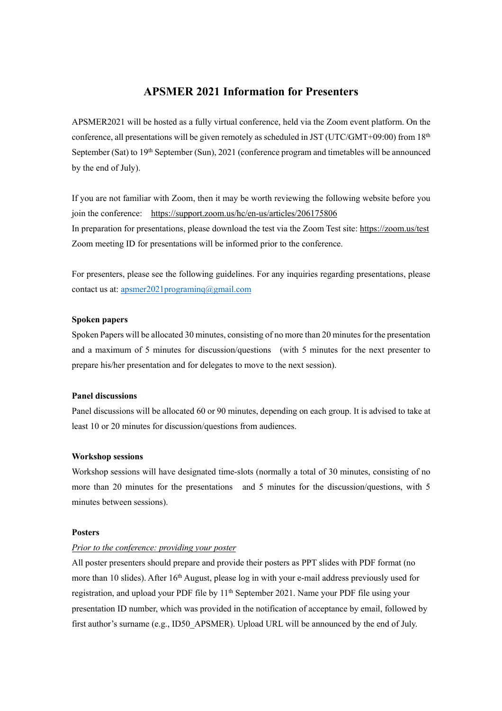# **APSMER 2021 Information for Presenters**

APSMER2021 will be hosted as a fully virtual conference, held via the Zoom event platform. On the conference, all presentations will be given remotely as scheduled in JST (UTC/GMT+09:00) from  $18<sup>th</sup>$ September (Sat) to 19<sup>th</sup> September (Sun), 2021 (conference program and timetables will be announced by the end of July).

If you are not familiar with Zoom, then it may be worth reviewing the following website before you join the conference: <https://support.zoom.us/hc/en-us/articles/206175806> In preparation for presentations, please download the test via the Zoom Test site:<https://zoom.us/test> Zoom meeting ID for presentations will be informed prior to the conference.

For presenters, please see the following guidelines. For any inquiries regarding presentations, please contact us at: [apsmer2021programinq@gmail.com](mailto:apsmer2021programinq@gmail.com)

## **Spoken papers**

Spoken Papers will be allocated 30 minutes, consisting of no more than 20 minutes for the presentation and a maximum of 5 minutes for discussion/questions (with 5 minutes for the next presenter to prepare his/her presentation and for delegates to move to the next session).

#### **Panel discussions**

Panel discussions will be allocated 60 or 90 minutes, depending on each group. It is advised to take at least 10 or 20 minutes for discussion/questions from audiences.

## **Workshop sessions**

Workshop sessions will have designated time-slots (normally a total of 30 minutes, consisting of no more than 20 minutes for the presentations and 5 minutes for the discussion/questions, with 5 minutes between sessions).

#### **Posters**

# *Prior to the conference: providing your poster*

All poster presenters should prepare and provide their posters as PPT slides with PDF format (no more than 10 slides). After 16<sup>th</sup> August, please log in with your e-mail address previously used for registration, and upload your PDF file by 11<sup>th</sup> September 2021. Name your PDF file using your presentation ID number, which was provided in the notification of acceptance by email, followed by first author's surname (e.g., ID50\_APSMER). Upload URL will be announced by the end of July.